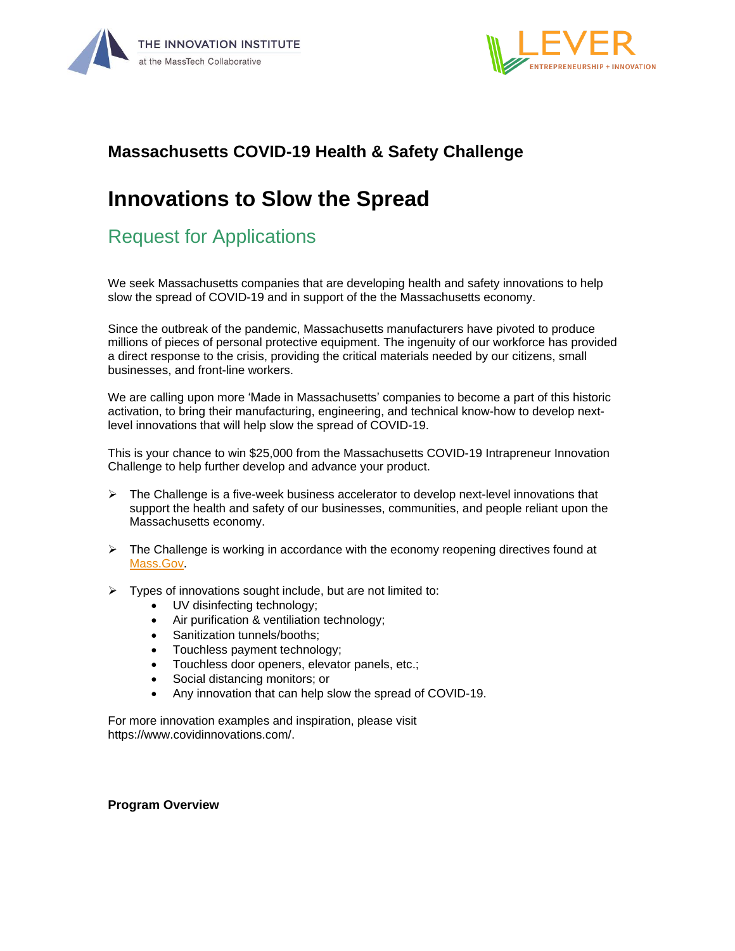



# **Massachusetts COVID-19 Health & Safety Challenge**

# **Innovations to Slow the Spread**

# Request for Applications

We seek Massachusetts companies that are developing health and safety innovations to help slow the spread of COVID-19 and in support of the the Massachusetts economy.

Since the outbreak of the pandemic, Massachusetts manufacturers have pivoted to produce millions of pieces of personal protective equipment. The ingenuity of our workforce has provided a direct response to the crisis, providing the critical materials needed by our citizens, small businesses, and front-line workers.

We are calling upon more 'Made in Massachusetts' companies to become a part of this historic activation, to bring their manufacturing, engineering, and technical know-how to develop nextlevel innovations that will help slow the spread of COVID-19.

This is your chance to win \$25,000 from the Massachusetts COVID-19 Intrapreneur Innovation Challenge to help further develop and advance your product.

- $\triangleright$  The Challenge is a five-week business accelerator to develop next-level innovations that support the health and safety of our businesses, communities, and people reliant upon the Massachusetts economy.
- $\triangleright$  The Challenge is working in accordance with the economy reopening directives found at [Mass.Gov.](https://www.mass.gov/info-details/reopening-massachusetts)
- $\triangleright$  Types of innovations sought include, but are not limited to:
	- UV disinfecting technology;
	- Air purification & ventiliation technology;
	- Sanitization tunnels/booths;
	- Touchless payment technology;
	- Touchless door openers, elevator panels, etc.;
	- Social distancing monitors; or
	- Any innovation that can help slow the spread of COVID-19.

For more innovation examples and inspiration, please visit https://www.covidinnovations.com/.

#### **Program Overview**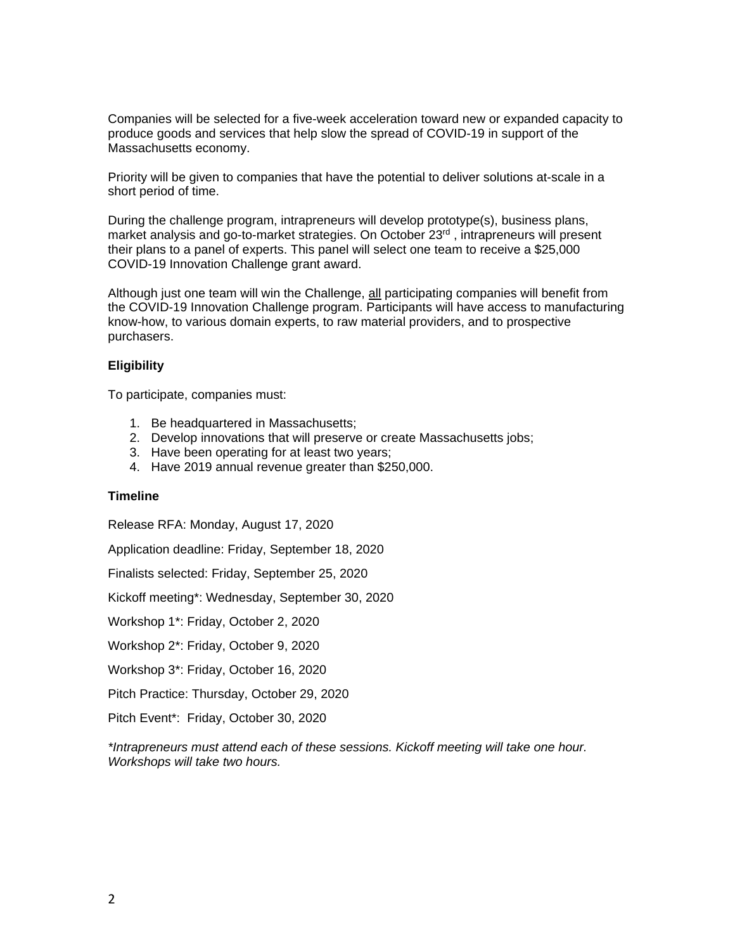Companies will be selected for a five-week acceleration toward new or expanded capacity to produce goods and services that help slow the spread of COVID-19 in support of the Massachusetts economy.

Priority will be given to companies that have the potential to deliver solutions at-scale in a short period of time.

During the challenge program, intrapreneurs will develop prototype(s), business plans, market analysis and go-to-market strategies. On October 23<sup>rd</sup>, intrapreneurs will present their plans to a panel of experts. This panel will select one team to receive a \$25,000 COVID-19 Innovation Challenge grant award.

Although just one team will win the Challenge, all participating companies will benefit from the COVID-19 Innovation Challenge program. Participants will have access to manufacturing know-how, to various domain experts, to raw material providers, and to prospective purchasers.

### **Eligibility**

To participate, companies must:

- 1. Be headquartered in Massachusetts;
- 2. Develop innovations that will preserve or create Massachusetts jobs;
- 3. Have been operating for at least two years;
- 4. Have 2019 annual revenue greater than \$250,000.

#### **Timeline**

Release RFA: Monday, August 17, 2020

Application deadline: Friday, September 18, 2020

Finalists selected: Friday, September 25, 2020

Kickoff meeting\*: Wednesday, September 30, 2020

Workshop 1\*: Friday, October 2, 2020

Workshop 2\*: Friday, October 9, 2020

Workshop 3\*: Friday, October 16, 2020

Pitch Practice: Thursday, October 29, 2020

Pitch Event\*: Friday, October 30, 2020

*\*Intrapreneurs must attend each of these sessions. Kickoff meeting will take one hour. Workshops will take two hours.*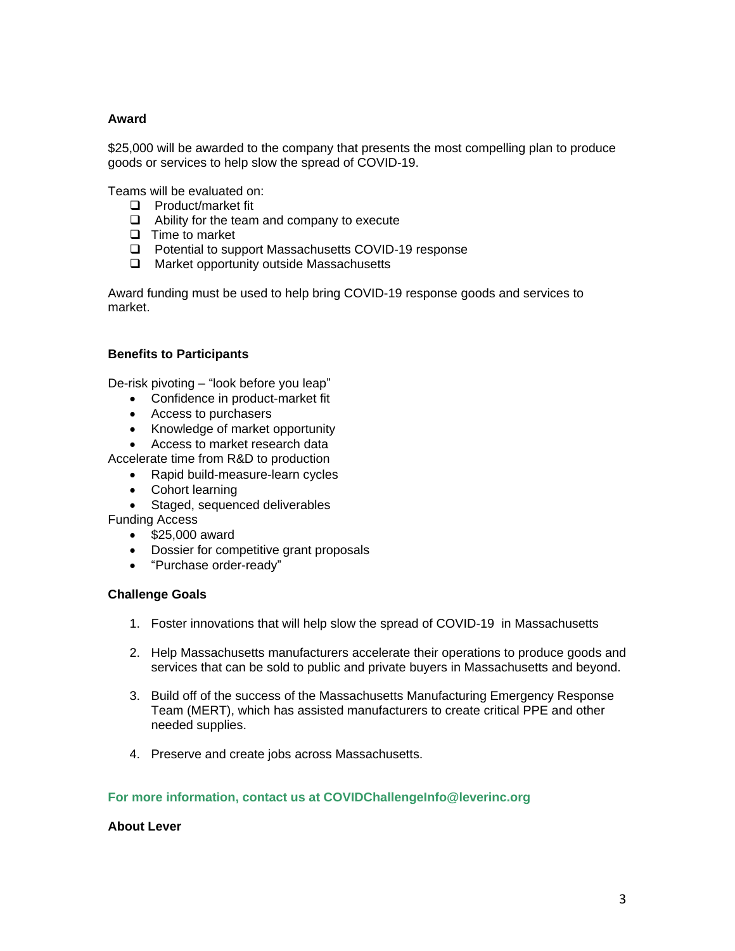# **Award**

\$25,000 will be awarded to the company that presents the most compelling plan to produce goods or services to help slow the spread of COVID-19.

Teams will be evaluated on:

- $\Box$  Product/market fit
- $\Box$  Ability for the team and company to execute
- $\Box$  Time to market
- □ Potential to support Massachusetts COVID-19 response
- □ Market opportunity outside Massachusetts

Award funding must be used to help bring COVID-19 response goods and services to market.

# **Benefits to Participants**

De-risk pivoting – "look before you leap"

- Confidence in product-market fit
- Access to purchasers
- Knowledge of market opportunity
- Access to market research data

Accelerate time from R&D to production

- Rapid build-measure-learn cycles
- Cohort learning
- Staged, sequenced deliverables

Funding Access

- \$25,000 award
- Dossier for competitive grant proposals
- "Purchase order-ready"

#### **Challenge Goals**

- 1. Foster innovations that will help slow the spread of COVID-19 in Massachusetts
- 2. Help Massachusetts manufacturers accelerate their operations to produce goods and services that can be sold to public and private buyers in Massachusetts and beyond.
- 3. Build off of the success of the Massachusetts Manufacturing Emergency Response Team (MERT), which has assisted manufacturers to create critical PPE and other needed supplies.
- 4. Preserve and create jobs across Massachusetts.

#### **For more information, contact us at COVIDChallengeInfo@leverinc.org**

### **About Lever**